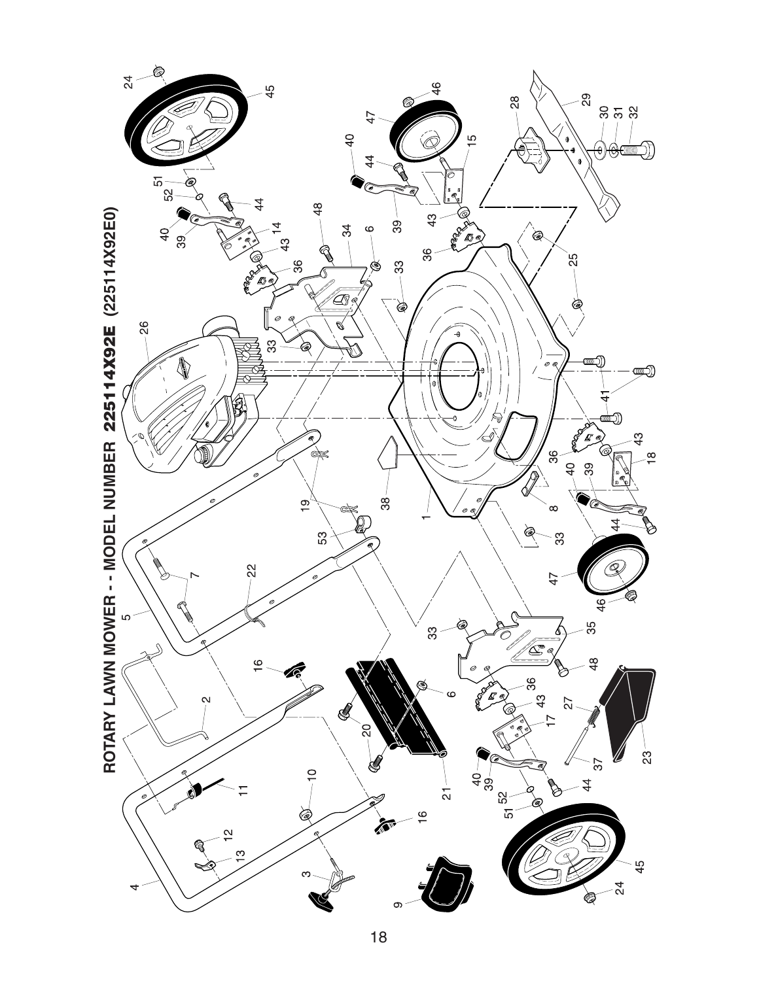